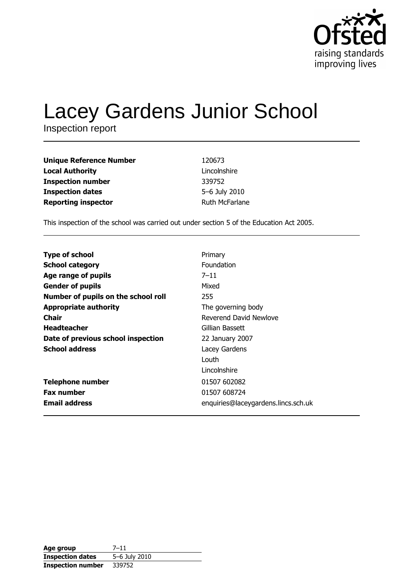

# Lacey Gardens Junior School

| <b>Unique Reference Number</b> | 120673         |
|--------------------------------|----------------|
| <b>Local Authority</b>         | Lincolnshire   |
| <b>Inspection number</b>       | 339752         |
| <b>Inspection dates</b>        | 5-6 July 2010  |
| <b>Reporting inspector</b>     | Ruth McFarlane |

This inspection of the school was carried out under section 5 of the Education Act 2005.

| Primary                             |
|-------------------------------------|
| <b>Foundation</b>                   |
| $7 - 11$                            |
| Mixed                               |
| 255                                 |
| The governing body                  |
| Reverend David Newlove              |
| Gillian Bassett                     |
| 22 January 2007                     |
| Lacey Gardens                       |
| Louth                               |
| Lincolnshire                        |
| 01507 602082                        |
| 01507 608724                        |
| enquiries@laceygardens.lincs.sch.uk |
|                                     |

| Age group                | $7 - 11$      |
|--------------------------|---------------|
| <b>Inspection dates</b>  | 5-6 July 2010 |
| <b>Inspection number</b> | 339752        |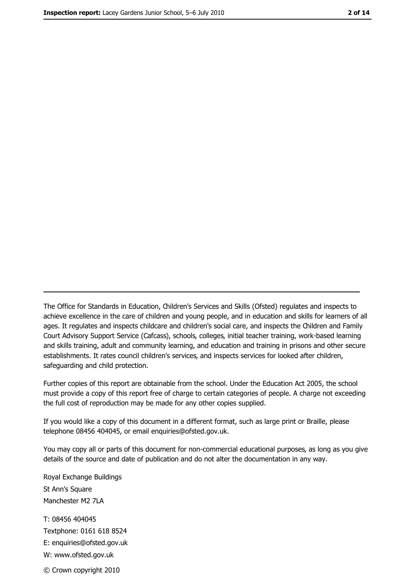The Office for Standards in Education, Children's Services and Skills (Ofsted) regulates and inspects to achieve excellence in the care of children and young people, and in education and skills for learners of all ages. It regulates and inspects childcare and children's social care, and inspects the Children and Family Court Advisory Support Service (Cafcass), schools, colleges, initial teacher training, work-based learning and skills training, adult and community learning, and education and training in prisons and other secure establishments. It rates council children's services, and inspects services for looked after children, safequarding and child protection.

Further copies of this report are obtainable from the school. Under the Education Act 2005, the school must provide a copy of this report free of charge to certain categories of people. A charge not exceeding the full cost of reproduction may be made for any other copies supplied.

If you would like a copy of this document in a different format, such as large print or Braille, please telephone 08456 404045, or email enquiries@ofsted.gov.uk.

You may copy all or parts of this document for non-commercial educational purposes, as long as you give details of the source and date of publication and do not alter the documentation in any way.

Royal Exchange Buildings St Ann's Square Manchester M2 7LA T: 08456 404045 Textphone: 0161 618 8524 E: enquiries@ofsted.gov.uk W: www.ofsted.gov.uk © Crown copyright 2010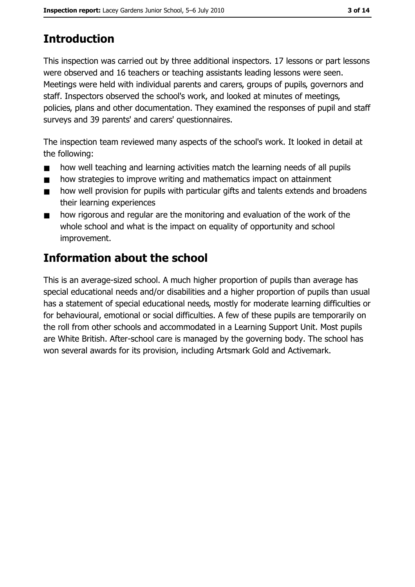# **Introduction**

This inspection was carried out by three additional inspectors. 17 lessons or part lessons were observed and 16 teachers or teaching assistants leading lessons were seen. Meetings were held with individual parents and carers, groups of pupils, governors and staff. Inspectors observed the school's work, and looked at minutes of meetings, policies, plans and other documentation. They examined the responses of pupil and staff surveys and 39 parents' and carers' questionnaires.

The inspection team reviewed many aspects of the school's work. It looked in detail at the following:

- how well teaching and learning activities match the learning needs of all pupils  $\blacksquare$
- how strategies to improve writing and mathematics impact on attainment  $\blacksquare$
- how well provision for pupils with particular gifts and talents extends and broadens  $\blacksquare$ their learning experiences
- how rigorous and regular are the monitoring and evaluation of the work of the  $\blacksquare$ whole school and what is the impact on equality of opportunity and school improvement.

# Information about the school

This is an average-sized school. A much higher proportion of pupils than average has special educational needs and/or disabilities and a higher proportion of pupils than usual has a statement of special educational needs, mostly for moderate learning difficulties or for behavioural, emotional or social difficulties. A few of these pupils are temporarily on the roll from other schools and accommodated in a Learning Support Unit. Most pupils are White British. After-school care is managed by the governing body. The school has won several awards for its provision, including Artsmark Gold and Activemark.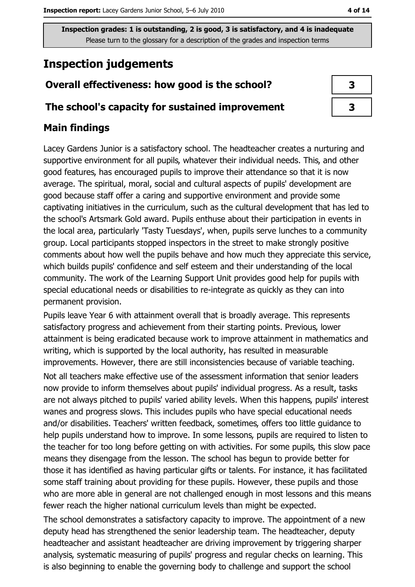# **Inspection judgements**

# Overall effectiveness: how good is the school?

### The school's capacity for sustained improvement

# **Main findings**

Lacey Gardens Junior is a satisfactory school. The headteacher creates a nurturing and supportive environment for all pupils, whatever their individual needs. This, and other good features, has encouraged pupils to improve their attendance so that it is now average. The spiritual, moral, social and cultural aspects of pupils' development are good because staff offer a caring and supportive environment and provide some captivating initiatives in the curriculum, such as the cultural development that has led to the school's Artsmark Gold award. Pupils enthuse about their participation in events in the local area, particularly 'Tasty Tuesdays', when, pupils serve lunches to a community group. Local participants stopped inspectors in the street to make strongly positive comments about how well the pupils behave and how much they appreciate this service, which builds pupils' confidence and self esteem and their understanding of the local community. The work of the Learning Support Unit provides good help for pupils with special educational needs or disabilities to re-integrate as quickly as they can into permanent provision.

Pupils leave Year 6 with attainment overall that is broadly average. This represents satisfactory progress and achievement from their starting points. Previous, lower attainment is being eradicated because work to improve attainment in mathematics and writing, which is supported by the local authority, has resulted in measurable improvements. However, there are still inconsistencies because of variable teaching.

Not all teachers make effective use of the assessment information that senior leaders now provide to inform themselves about pupils' individual progress. As a result, tasks are not always pitched to pupils' varied ability levels. When this happens, pupils' interest wanes and progress slows. This includes pupils who have special educational needs and/or disabilities. Teachers' written feedback, sometimes, offers too little quidance to help pupils understand how to improve. In some lessons, pupils are required to listen to the teacher for too long before getting on with activities. For some pupils, this slow pace means they disengage from the lesson. The school has begun to provide better for those it has identified as having particular gifts or talents. For instance, it has facilitated some staff training about providing for these pupils. However, these pupils and those who are more able in general are not challenged enough in most lessons and this means fewer reach the higher national curriculum levels than might be expected.

The school demonstrates a satisfactory capacity to improve. The appointment of a new deputy head has strengthened the senior leadership team. The headteacher, deputy headteacher and assistant headteacher are driving improvement by triggering sharper analysis, systematic measuring of pupils' progress and regular checks on learning. This is also beginning to enable the governing body to challenge and support the school

| 3 |  |
|---|--|
| 3 |  |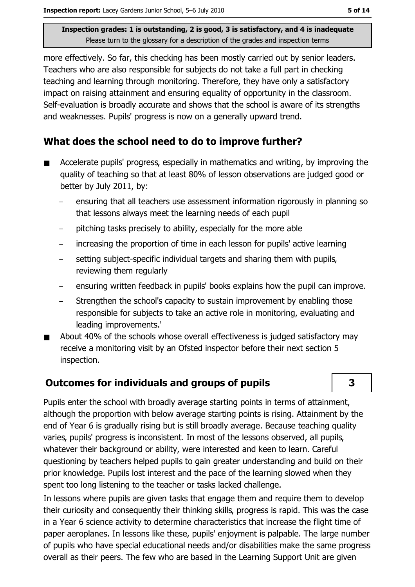more effectively. So far, this checking has been mostly carried out by senior leaders. Teachers who are also responsible for subjects do not take a full part in checking teaching and learning through monitoring. Therefore, they have only a satisfactory impact on raising attainment and ensuring equality of opportunity in the classroom. Self-evaluation is broadly accurate and shows that the school is aware of its strengths and weaknesses. Pupils' progress is now on a generally upward trend.

## What does the school need to do to improve further?

- Accelerate pupils' progress, especially in mathematics and writing, by improving the  $\blacksquare$ quality of teaching so that at least 80% of lesson observations are judged good or better by July 2011, by:
	- ensuring that all teachers use assessment information rigorously in planning so that lessons always meet the learning needs of each pupil
	- pitching tasks precisely to ability, especially for the more able
	- increasing the proportion of time in each lesson for pupils' active learning
	- setting subject-specific individual targets and sharing them with pupils, reviewing them regularly
	- ensuring written feedback in pupils' books explains how the pupil can improve.  $\equiv$
	- Strengthen the school's capacity to sustain improvement by enabling those responsible for subjects to take an active role in monitoring, evaluating and leading improvements.'
- About 40% of the schools whose overall effectiveness is judged satisfactory may  $\blacksquare$ receive a monitoring visit by an Ofsted inspector before their next section 5 inspection.

## **Outcomes for individuals and groups of pupils**

Pupils enter the school with broadly average starting points in terms of attainment, although the proportion with below average starting points is rising. Attainment by the end of Year 6 is gradually rising but is still broadly average. Because teaching quality varies, pupils' progress is inconsistent. In most of the lessons observed, all pupils, whatever their background or ability, were interested and keen to learn. Careful questioning by teachers helped pupils to gain greater understanding and build on their prior knowledge. Pupils lost interest and the pace of the learning slowed when they spent too long listening to the teacher or tasks lacked challenge.

In lessons where pupils are given tasks that engage them and require them to develop their curiosity and consequently their thinking skills, progress is rapid. This was the case in a Year 6 science activity to determine characteristics that increase the flight time of paper aeroplanes. In lessons like these, pupils' enjoyment is palpable. The large number of pupils who have special educational needs and/or disabilities make the same progress overall as their peers. The few who are based in the Learning Support Unit are given

3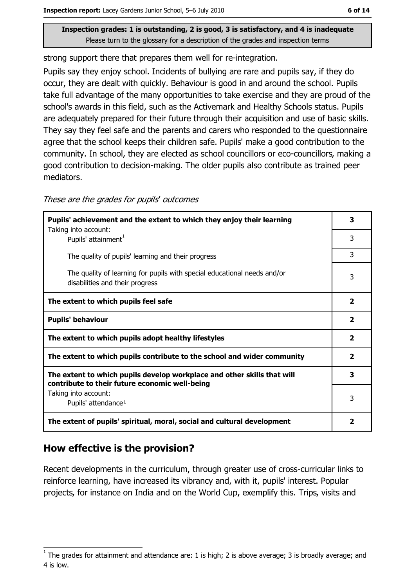strong support there that prepares them well for re-integration.

Pupils say they enjoy school. Incidents of bullying are rare and pupils say, if they do occur, they are dealt with quickly. Behaviour is good in and around the school. Pupils take full advantage of the many opportunities to take exercise and they are proud of the school's awards in this field, such as the Activemark and Healthy Schools status. Pupils are adequately prepared for their future through their acquisition and use of basic skills. They say they feel safe and the parents and carers who responded to the questionnaire agree that the school keeps their children safe. Pupils' make a good contribution to the community. In school, they are elected as school councillors or eco-councillors, making a good contribution to decision-making. The older pupils also contribute as trained peer mediators.

These are the grades for pupils' outcomes

| Pupils' achievement and the extent to which they enjoy their learning<br>Taking into account:                             | 3                       |
|---------------------------------------------------------------------------------------------------------------------------|-------------------------|
| Pupils' attainment <sup>1</sup>                                                                                           | 3                       |
| The quality of pupils' learning and their progress                                                                        | 3                       |
| The quality of learning for pupils with special educational needs and/or<br>disabilities and their progress               | 3                       |
| The extent to which pupils feel safe                                                                                      | $\overline{\mathbf{2}}$ |
| <b>Pupils' behaviour</b>                                                                                                  | $\overline{\mathbf{2}}$ |
| The extent to which pupils adopt healthy lifestyles                                                                       | $\overline{2}$          |
| The extent to which pupils contribute to the school and wider community                                                   |                         |
| The extent to which pupils develop workplace and other skills that will<br>contribute to their future economic well-being | 3                       |
| Taking into account:<br>Pupils' attendance <sup>1</sup>                                                                   | 3                       |
| The extent of pupils' spiritual, moral, social and cultural development                                                   | 2                       |

# How effective is the provision?

Recent developments in the curriculum, through greater use of cross-curricular links to reinforce learning, have increased its vibrancy and, with it, pupils' interest. Popular projects, for instance on India and on the World Cup, exemplify this. Trips, visits and

The grades for attainment and attendance are: 1 is high; 2 is above average; 3 is broadly average; and 4 is low.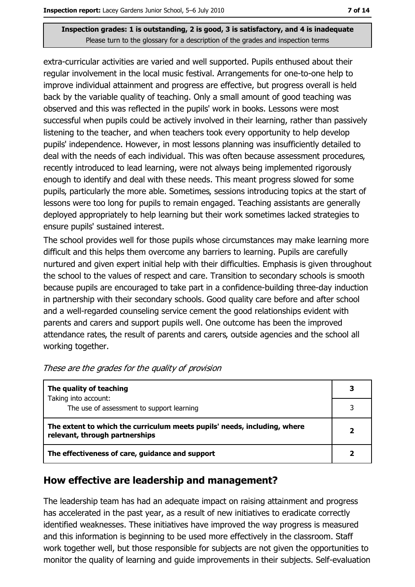extra-curricular activities are varied and well supported. Pupils enthused about their regular involvement in the local music festival. Arrangements for one-to-one help to improve individual attainment and progress are effective, but progress overall is held back by the variable quality of teaching. Only a small amount of good teaching was observed and this was reflected in the pupils' work in books. Lessons were most successful when pupils could be actively involved in their learning, rather than passively listening to the teacher, and when teachers took every opportunity to help develop pupils' independence. However, in most lessons planning was insufficiently detailed to deal with the needs of each individual. This was often because assessment procedures, recently introduced to lead learning, were not always being implemented rigorously enough to identify and deal with these needs. This meant progress slowed for some pupils, particularly the more able. Sometimes, sessions introducing topics at the start of lessons were too long for pupils to remain engaged. Teaching assistants are generally deployed appropriately to help learning but their work sometimes lacked strategies to ensure pupils' sustained interest.

The school provides well for those pupils whose circumstances may make learning more difficult and this helps them overcome any barriers to learning. Pupils are carefully nurtured and given expert initial help with their difficulties. Emphasis is given throughout the school to the values of respect and care. Transition to secondary schools is smooth because pupils are encouraged to take part in a confidence-building three-day induction in partnership with their secondary schools. Good quality care before and after school and a well-regarded counseling service cement the good relationships evident with parents and carers and support pupils well. One outcome has been the improved attendance rates, the result of parents and carers, outside agencies and the school all working together.

| The quality of teaching                                                                                    |  |
|------------------------------------------------------------------------------------------------------------|--|
| Taking into account:<br>The use of assessment to support learning                                          |  |
| The extent to which the curriculum meets pupils' needs, including, where<br>relevant, through partnerships |  |
| The effectiveness of care, guidance and support                                                            |  |

These are the grades for the quality of provision

## How effective are leadership and management?

The leadership team has had an adequate impact on raising attainment and progress has accelerated in the past year, as a result of new initiatives to eradicate correctly identified weaknesses. These initiatives have improved the way progress is measured and this information is beginning to be used more effectively in the classroom. Staff work together well, but those responsible for subjects are not given the opportunities to monitor the quality of learning and quide improvements in their subjects. Self-evaluation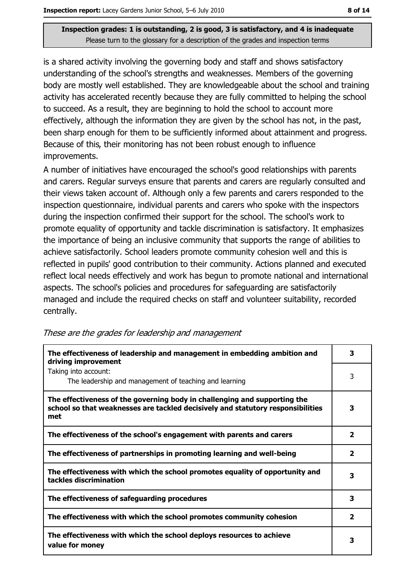is a shared activity involving the governing body and staff and shows satisfactory understanding of the school's strengths and weaknesses. Members of the governing body are mostly well established. They are knowledgeable about the school and training activity has accelerated recently because they are fully committed to helping the school to succeed. As a result, they are beginning to hold the school to account more effectively, although the information they are given by the school has not, in the past, been sharp enough for them to be sufficiently informed about attainment and progress. Because of this, their monitoring has not been robust enough to influence improvements.

A number of initiatives have encouraged the school's good relationships with parents and carers. Regular surveys ensure that parents and carers are regularly consulted and their views taken account of. Although only a few parents and carers responded to the inspection questionnaire, individual parents and carers who spoke with the inspectors during the inspection confirmed their support for the school. The school's work to promote equality of opportunity and tackle discrimination is satisfactory. It emphasizes the importance of being an inclusive community that supports the range of abilities to achieve satisfactorily. School leaders promote community cohesion well and this is reflected in pupils' good contribution to their community. Actions planned and executed reflect local needs effectively and work has begun to promote national and international aspects. The school's policies and procedures for safeguarding are satisfactorily managed and include the required checks on staff and volunteer suitability, recorded centrally.

| The effectiveness of leadership and management in embedding ambition and<br>driving improvement                                                                     | 3                       |
|---------------------------------------------------------------------------------------------------------------------------------------------------------------------|-------------------------|
| Taking into account:<br>The leadership and management of teaching and learning                                                                                      | 3                       |
| The effectiveness of the governing body in challenging and supporting the<br>school so that weaknesses are tackled decisively and statutory responsibilities<br>met | 3                       |
| The effectiveness of the school's engagement with parents and carers                                                                                                | 2                       |
| The effectiveness of partnerships in promoting learning and well-being                                                                                              | $\overline{\mathbf{2}}$ |
| The effectiveness with which the school promotes equality of opportunity and<br>tackles discrimination                                                              | 3                       |
| The effectiveness of safeguarding procedures                                                                                                                        | 3                       |
| The effectiveness with which the school promotes community cohesion                                                                                                 | $\overline{\mathbf{2}}$ |
| The effectiveness with which the school deploys resources to achieve<br>value for money                                                                             | з                       |

These are the grades for leadership and management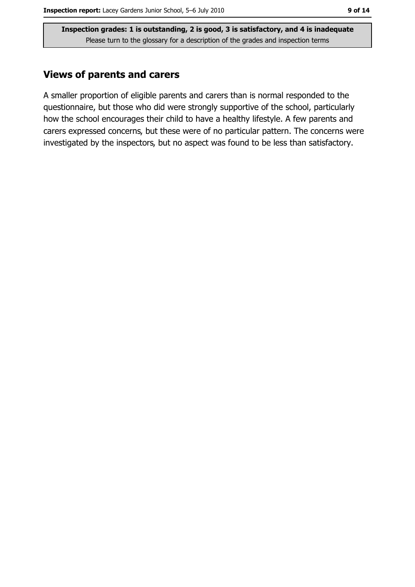# **Views of parents and carers**

A smaller proportion of eligible parents and carers than is normal responded to the questionnaire, but those who did were strongly supportive of the school, particularly how the school encourages their child to have a healthy lifestyle. A few parents and carers expressed concerns, but these were of no particular pattern. The concerns were investigated by the inspectors, but no aspect was found to be less than satisfactory.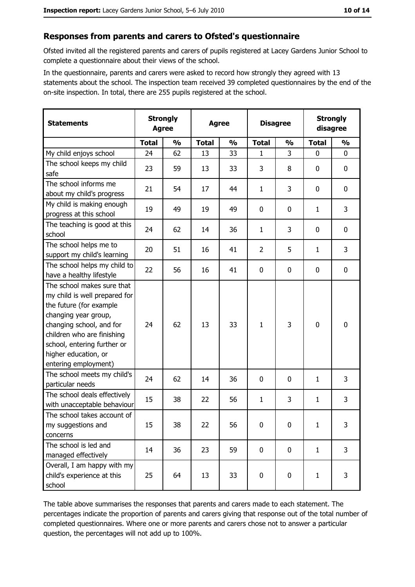#### Responses from parents and carers to Ofsted's questionnaire

Ofsted invited all the registered parents and carers of pupils registered at Lacey Gardens Junior School to complete a questionnaire about their views of the school.

In the questionnaire, parents and carers were asked to record how strongly they agreed with 13 statements about the school. The inspection team received 39 completed questionnaires by the end of the on-site inspection. In total, there are 255 pupils registered at the school.

| <b>Statements</b>                                                                                                                                                                                                                                       | <b>Strongly</b><br><b>Agree</b> |               | <b>Agree</b> |               |                | <b>Disagree</b> |              | <b>Strongly</b><br>disagree |  |
|---------------------------------------------------------------------------------------------------------------------------------------------------------------------------------------------------------------------------------------------------------|---------------------------------|---------------|--------------|---------------|----------------|-----------------|--------------|-----------------------------|--|
|                                                                                                                                                                                                                                                         | <b>Total</b>                    | $\frac{1}{2}$ | <b>Total</b> | $\frac{0}{0}$ | <b>Total</b>   | $\frac{0}{0}$   | <b>Total</b> | $\frac{0}{0}$               |  |
| My child enjoys school                                                                                                                                                                                                                                  | 24                              | 62            | 13           | 33            | 1              | 3               | $\mathbf 0$  | $\mathbf 0$                 |  |
| The school keeps my child<br>safe                                                                                                                                                                                                                       | 23                              | 59            | 13           | 33            | 3              | 8               | 0            | 0                           |  |
| The school informs me<br>about my child's progress                                                                                                                                                                                                      | 21                              | 54            | 17           | 44            | $\mathbf{1}$   | 3               | 0            | 0                           |  |
| My child is making enough<br>progress at this school                                                                                                                                                                                                    | 19                              | 49            | 19           | 49            | $\mathbf 0$    | 0               | 1            | 3                           |  |
| The teaching is good at this<br>school                                                                                                                                                                                                                  | 24                              | 62            | 14           | 36            | 1              | 3               | 0            | $\mathbf 0$                 |  |
| The school helps me to<br>support my child's learning                                                                                                                                                                                                   | 20                              | 51            | 16           | 41            | $\overline{2}$ | 5               | 1            | 3                           |  |
| The school helps my child to<br>have a healthy lifestyle                                                                                                                                                                                                | 22                              | 56            | 16           | 41            | $\mathbf 0$    | 0               | 0            | $\mathbf 0$                 |  |
| The school makes sure that<br>my child is well prepared for<br>the future (for example<br>changing year group,<br>changing school, and for<br>children who are finishing<br>school, entering further or<br>higher education, or<br>entering employment) | 24                              | 62            | 13           | 33            | $\mathbf{1}$   | 3               | 0            | $\mathbf 0$                 |  |
| The school meets my child's<br>particular needs                                                                                                                                                                                                         | 24                              | 62            | 14           | 36            | 0              | 0               | 1            | 3                           |  |
| The school deals effectively<br>with unacceptable behaviour                                                                                                                                                                                             | 15                              | 38            | 22           | 56            | $\mathbf{1}$   | 3               | 1            | 3                           |  |
| The school takes account of<br>my suggestions and<br>concerns                                                                                                                                                                                           | 15                              | 38            | 22           | 56            | $\mathbf 0$    | $\mathbf 0$     | $\mathbf{1}$ | 3                           |  |
| The school is led and<br>managed effectively                                                                                                                                                                                                            | 14                              | 36            | 23           | 59            | $\mathbf 0$    | 0               | $\mathbf{1}$ | 3                           |  |
| Overall, I am happy with my<br>child's experience at this<br>school                                                                                                                                                                                     | 25                              | 64            | 13           | 33            | $\bf{0}$       | 0               | 1            | 3                           |  |

The table above summarises the responses that parents and carers made to each statement. The percentages indicate the proportion of parents and carers giving that response out of the total number of completed questionnaires. Where one or more parents and carers chose not to answer a particular question, the percentages will not add up to 100%.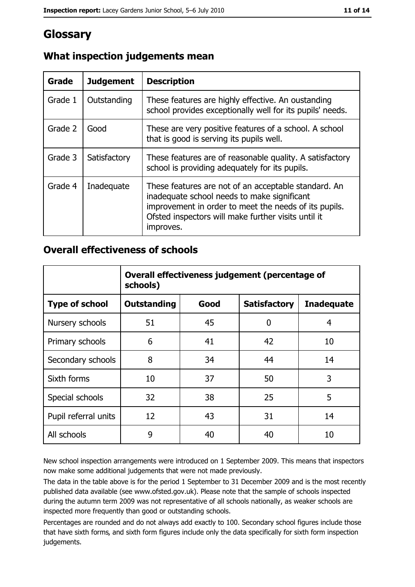# Glossary

| Grade   | <b>Judgement</b> | <b>Description</b>                                                                                                                                                                                                               |
|---------|------------------|----------------------------------------------------------------------------------------------------------------------------------------------------------------------------------------------------------------------------------|
| Grade 1 | Outstanding      | These features are highly effective. An oustanding<br>school provides exceptionally well for its pupils' needs.                                                                                                                  |
| Grade 2 | Good             | These are very positive features of a school. A school<br>that is good is serving its pupils well.                                                                                                                               |
| Grade 3 | Satisfactory     | These features are of reasonable quality. A satisfactory<br>school is providing adequately for its pupils.                                                                                                                       |
| Grade 4 | Inadequate       | These features are not of an acceptable standard. An<br>inadequate school needs to make significant<br>improvement in order to meet the needs of its pupils.<br>Ofsted inspectors will make further visits until it<br>improves. |

# What inspection judgements mean

## **Overall effectiveness of schools**

|                       | Overall effectiveness judgement (percentage of<br>schools) |      |                     |                   |
|-----------------------|------------------------------------------------------------|------|---------------------|-------------------|
| <b>Type of school</b> | <b>Outstanding</b>                                         | Good | <b>Satisfactory</b> | <b>Inadequate</b> |
| Nursery schools       | 51                                                         | 45   | 0                   | 4                 |
| Primary schools       | 6                                                          | 41   | 42                  | 10                |
| Secondary schools     | 8                                                          | 34   | 44                  | 14                |
| Sixth forms           | 10                                                         | 37   | 50                  | 3                 |
| Special schools       | 32                                                         | 38   | 25                  | 5                 |
| Pupil referral units  | 12                                                         | 43   | 31                  | 14                |
| All schools           | 9                                                          | 40   | 40                  | 10                |

New school inspection arrangements were introduced on 1 September 2009. This means that inspectors now make some additional judgements that were not made previously.

The data in the table above is for the period 1 September to 31 December 2009 and is the most recently published data available (see www.ofsted.gov.uk). Please note that the sample of schools inspected during the autumn term 2009 was not representative of all schools nationally, as weaker schools are inspected more frequently than good or outstanding schools.

Percentages are rounded and do not always add exactly to 100. Secondary school figures include those that have sixth forms, and sixth form figures include only the data specifically for sixth form inspection judgements.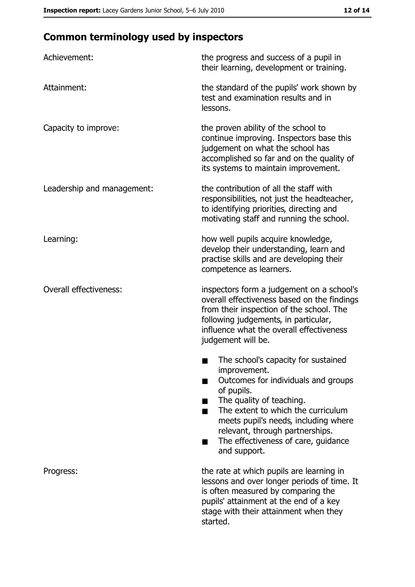# **Common terminology used by inspectors**

| Achievement:                  | the progress and success of a pupil in<br>their learning, development or training.                                                                                                                                                                                                                           |
|-------------------------------|--------------------------------------------------------------------------------------------------------------------------------------------------------------------------------------------------------------------------------------------------------------------------------------------------------------|
| Attainment:                   | the standard of the pupils' work shown by<br>test and examination results and in<br>lessons.                                                                                                                                                                                                                 |
| Capacity to improve:          | the proven ability of the school to<br>continue improving. Inspectors base this<br>judgement on what the school has<br>accomplished so far and on the quality of<br>its systems to maintain improvement.                                                                                                     |
| Leadership and management:    | the contribution of all the staff with<br>responsibilities, not just the headteacher,<br>to identifying priorities, directing and<br>motivating staff and running the school.                                                                                                                                |
| Learning:                     | how well pupils acquire knowledge,<br>develop their understanding, learn and<br>practise skills and are developing their<br>competence as learners.                                                                                                                                                          |
| <b>Overall effectiveness:</b> | inspectors form a judgement on a school's<br>overall effectiveness based on the findings<br>from their inspection of the school. The<br>following judgements, in particular,<br>influence what the overall effectiveness<br>judgement will be.                                                               |
|                               | The school's capacity for sustained<br>improvement.<br>Outcomes for individuals and groups<br>of pupils.<br>The quality of teaching.<br>The extent to which the curriculum<br>meets pupil's needs, including where<br>relevant, through partnerships.<br>The effectiveness of care, guidance<br>and support. |
| Progress:                     | the rate at which pupils are learning in<br>lessons and over longer periods of time. It<br>is often measured by comparing the<br>pupils' attainment at the end of a key<br>stage with their attainment when they<br>started.                                                                                 |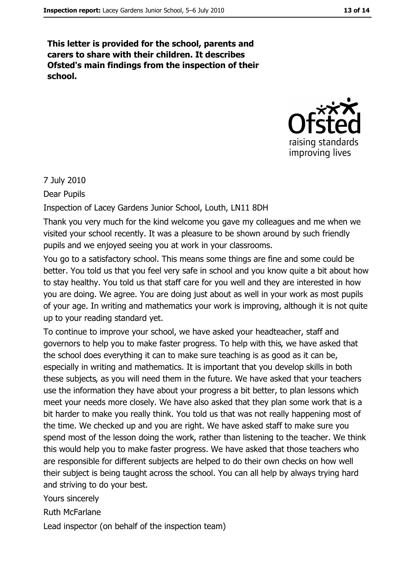This letter is provided for the school, parents and carers to share with their children. It describes Ofsted's main findings from the inspection of their school.



#### 7 July 2010

Dear Pupils

Inspection of Lacey Gardens Junior School, Louth, LN11 8DH

Thank you very much for the kind welcome you gave my colleagues and me when we visited your school recently. It was a pleasure to be shown around by such friendly pupils and we enjoyed seeing you at work in your classrooms.

You go to a satisfactory school. This means some things are fine and some could be better. You told us that you feel very safe in school and you know quite a bit about how to stay healthy. You told us that staff care for you well and they are interested in how you are doing. We agree. You are doing just about as well in your work as most pupils of your age. In writing and mathematics your work is improving, although it is not quite up to your reading standard yet.

To continue to improve your school, we have asked your headteacher, staff and governors to help you to make faster progress. To help with this, we have asked that the school does everything it can to make sure teaching is as good as it can be. especially in writing and mathematics. It is important that you develop skills in both these subjects, as you will need them in the future. We have asked that your teachers use the information they have about your progress a bit better, to plan lessons which meet your needs more closely. We have also asked that they plan some work that is a bit harder to make you really think. You told us that was not really happening most of the time. We checked up and you are right. We have asked staff to make sure you spend most of the lesson doing the work, rather than listening to the teacher. We think this would help you to make faster progress. We have asked that those teachers who are responsible for different subjects are helped to do their own checks on how well their subject is being taught across the school. You can all help by always trying hard and striving to do your best.

Yours sincerely

**Ruth McFarlane** 

Lead inspector (on behalf of the inspection team)